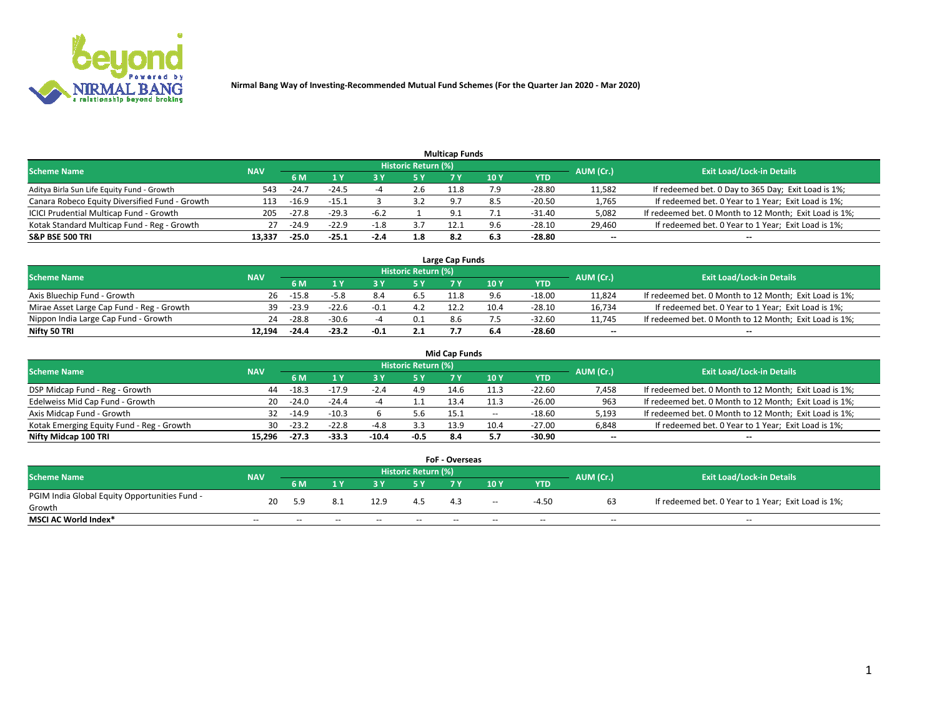

|                                                |            |         |         |        |                     | <b>Multicap Funds</b> |      |          |           |                                                        |
|------------------------------------------------|------------|---------|---------|--------|---------------------|-----------------------|------|----------|-----------|--------------------------------------------------------|
| <b>Scheme Name</b>                             | <b>NAV</b> |         |         |        | Historic Return (%) |                       |      |          | AUM (Cr.) | <b>Exit Load/Lock-in Details</b>                       |
|                                                |            | 6 M     |         |        | 5 Y                 |                       | 10 Y | YTD      |           |                                                        |
| Aditya Birla Sun Life Equity Fund - Growth     | 543        | $-24.7$ | $-24.5$ |        | 2.6                 | 11.8                  | 7 Q  | $-28.80$ | 11,582    | If redeemed bet. 0 Day to 365 Day; Exit Load is 1%;    |
| Canara Robeco Equity Diversified Fund - Growth | 113        | $-16.9$ | $-15.1$ |        | 3.2                 | $\circ$               |      | -20.50   | 1,765     | If redeemed bet. 0 Year to 1 Year; Exit Load is 1%;    |
| ICICI Prudential Multicap Fund - Growth        | 205        | $-27.8$ | $-29.3$ | -6.2   |                     | $\Omega$              |      | $-31.40$ | 5,082     | If redeemed bet. 0 Month to 12 Month; Exit Load is 1%; |
| Kotak Standard Multicap Fund - Reg - Growth    | 27         | $-24.9$ | $-22.9$ | $-1.8$ | 3.7                 | 12.1                  | 9.6  | $-28.10$ | 29,460    | If redeemed bet. 0 Year to 1 Year; Exit Load is 1%;    |
| <b>S&amp;P BSE 500 TRI</b>                     | 13.337     | $-25.0$ | $-25.1$ | $-2.4$ | 1.8                 | 8.2                   | 6.3  | $-28.80$ | $\sim$    | $-$                                                    |

| Large Cap Funds                           |            |         |         |        |                     |      |      |          |           |                                                        |  |  |  |  |
|-------------------------------------------|------------|---------|---------|--------|---------------------|------|------|----------|-----------|--------------------------------------------------------|--|--|--|--|
| Scheme Name                               | <b>NAV</b> |         |         |        | Historic Return (%) |      |      |          | AUM (Cr.) | <b>Exit Load/Lock-in Details</b>                       |  |  |  |  |
|                                           |            | 6 M     |         |        | 5 Y                 |      | 10Y  | YTD      |           |                                                        |  |  |  |  |
| Axis Bluechip Fund - Growth               | 26         | $-15.8$ |         |        |                     |      |      | $-18.00$ | 11,824    | If redeemed bet. 0 Month to 12 Month; Exit Load is 1%; |  |  |  |  |
| Mirae Asset Large Cap Fund - Reg - Growth | 39         | $-23.9$ | $-22.6$ |        | 4.Z                 | 12.2 | 10.4 | -28.10   | 16,734    | If redeemed bet. 0 Year to 1 Year; Exit Load is 1%;    |  |  |  |  |
| Nippon India Large Cap Fund - Growth      | 24         | $-28.8$ | $-30.6$ |        | 0.1                 | 8.6  |      | -32.60   | 11,745    | If redeemed bet. 0 Month to 12 Month; Exit Load is 1%; |  |  |  |  |
| Nifty 50 TRI                              | 12.194     | $-24.4$ | $-23.2$ | $-0.1$ | 2.1                 |      |      | -28.60   | $\sim$    | $\sim$                                                 |  |  |  |  |

|                                           |            |         |         |         |                     | <b>Mid Cap Funds</b> |        |            |           |                                                        |
|-------------------------------------------|------------|---------|---------|---------|---------------------|----------------------|--------|------------|-----------|--------------------------------------------------------|
| <b>Scheme Name</b>                        | <b>NAV</b> |         |         |         | Historic Return (%) |                      |        |            | AUM (Cr.) | <b>Exit Load/Lock-in Details</b>                       |
|                                           |            | 6 M     |         |         |                     |                      | 10Y    | <b>YTD</b> |           |                                                        |
| DSP Midcap Fund - Reg - Growth            | 44         | $-18.3$ | $-17.9$ | -2.4    | 4.9                 | 14.6                 | 11.3   | $-22.60$   | 7,458     | If redeemed bet. 0 Month to 12 Month; Exit Load is 1%; |
| Edelweiss Mid Cap Fund - Growth           | 20         | $-24.0$ | $-24.4$ |         | <b></b>             | 13.4                 | 11.3   | $-26.00$   | 963       | If redeemed bet. 0 Month to 12 Month; Exit Load is 1%; |
| Axis Midcap Fund - Growth                 | 32         | $-14.9$ | $-10.3$ |         | 5.6                 | 15.1                 | $\sim$ | $-18.60$   | 5,193     | If redeemed bet. 0 Month to 12 Month; Exit Load is 1%; |
| Kotak Emerging Equity Fund - Reg - Growth | 30.        | $-23.2$ | $-22.8$ | $-4.8$  | 3.3                 | 13.9                 | 10.4   | $-27.00$   | 6,848     | If redeemed bet. 0 Year to 1 Year; Exit Load is 1%;    |
| Nifty Midcap 100 TRI                      | 15.296     | $-27.3$ | $-33.3$ | $-10.4$ | $-0.5$              | 8.4                  |        | -30.90     | $\sim$    |                                                        |

| <b>FoF - Overseas</b>                         |            |                                         |       |       |       |     |        |            |       |                                                     |  |  |  |
|-----------------------------------------------|------------|-----------------------------------------|-------|-------|-------|-----|--------|------------|-------|-----------------------------------------------------|--|--|--|
| <b>Scheme Name</b>                            | <b>NAV</b> | <b>Historic Return (%)</b><br>AUM (Cr.) |       |       |       |     |        |            |       | <b>Exit Load/Lock-in Details</b>                    |  |  |  |
|                                               |            | 6 M                                     |       |       |       |     | 10Y    | <b>YTD</b> |       |                                                     |  |  |  |
| PGIM India Global Equity Opportunities Fund - | 20         | 59                                      |       | 12.9  |       |     | $\sim$ | -4.50      |       | If redeemed bet. 0 Year to 1 Year; Exit Load is 1%; |  |  |  |
| Growth                                        |            |                                         |       |       |       | 4.3 |        |            | b3    |                                                     |  |  |  |
| <b>MSCI AC World Index*</b>                   | $- -$      | $- -$                                   | $- -$ | $- -$ | $- -$ | --  | $- -$  | $- -$      | $- -$ | $- -$                                               |  |  |  |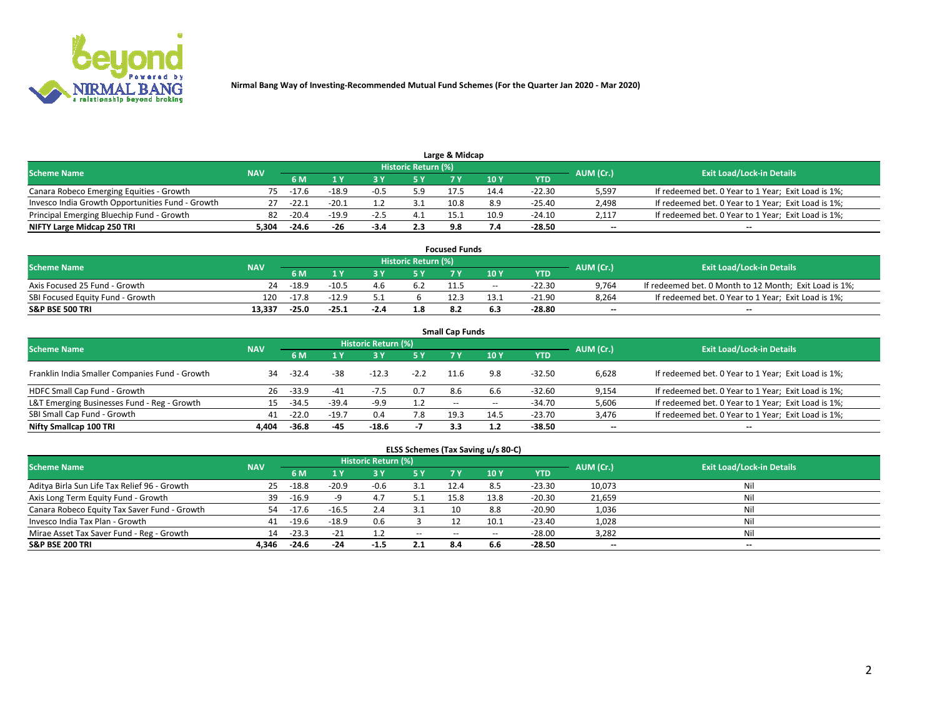

|                                                  |            |         |         |        | Historic Return (%) |      |      |            |                          |                                                     |
|--------------------------------------------------|------------|---------|---------|--------|---------------------|------|------|------------|--------------------------|-----------------------------------------------------|
| <b>Scheme Name</b>                               | <b>NAV</b> | 5 M     |         |        | 5 Y                 |      | 10Y  | <b>YTD</b> | AUM (Cr.)                | <b>Exit Load/Lock-in Details</b>                    |
| Canara Robeco Emerging Equities - Growth         | 75.        | -17.6   | $-18.9$ | $-0.5$ | 5.9                 | 17.5 | 14.4 | -22.30     | 5,597                    | If redeemed bet. 0 Year to 1 Year; Exit Load is 1%; |
| Invesco India Growth Opportunities Fund - Growth |            | $-22.1$ | $-20.1$ |        |                     | 10.8 | 8.9  | -25.40     | 2,498                    | If redeemed bet. 0 Year to 1 Year; Exit Load is 1%; |
| Principal Emerging Bluechip Fund - Growth        | 82         | $-20.4$ | $-19.9$ | $-2.5$ |                     | 15.1 | 10.9 | $-24.10$   | 2,117                    | If redeemed bet. 0 Year to 1 Year; Exit Load is 1%; |
| NIFTY Large Midcap 250 TRI                       | 5.304      | $-24.6$ | -26     | $-3.4$ | 2.3                 |      | 7.4  | -28.50     | $\overline{\phantom{a}}$ | $- -$                                               |

| <b>Focused Funds</b>             |            |         |         |     |                     |      |       |          |           |                                                        |  |  |  |
|----------------------------------|------------|---------|---------|-----|---------------------|------|-------|----------|-----------|--------------------------------------------------------|--|--|--|
| <b>Scheme Name</b>               | <b>NAV</b> |         |         |     | Historic Return (%) |      |       |          | AUM (Cr.) | <b>Exit Load/Lock-in Details</b>                       |  |  |  |
|                                  |            | 6 M     |         |     |                     |      | 10 Y  | YTD      |           |                                                        |  |  |  |
| Axis Focused 25 Fund - Growth    | 24         | $-18.9$ | $-10.5$ | 4.b | 6.2                 | 11.5 | $- -$ | $-22.30$ | 9,764     | If redeemed bet. 0 Month to 12 Month; Exit Load is 1%; |  |  |  |
| SBI Focused Equity Fund - Growth | 120        | $-17.8$ | $-12.9$ |     |                     |      | 13.1  | $-21.90$ | 8.264     | If redeemed bet. 0 Year to 1 Year; Exit Load is 1%;    |  |  |  |
| <b>S&amp;P BSE 500 TRI</b>       | 13.337     | $-25.0$ | $-25.1$ | -14 | 1.8                 |      |       | -28.80   | $\sim$    | $- -$                                                  |  |  |  |

| <b>Small Cap Funds</b>                         |            |         |         |                     |           |                          |       |            |                          |                                                     |  |  |  |  |
|------------------------------------------------|------------|---------|---------|---------------------|-----------|--------------------------|-------|------------|--------------------------|-----------------------------------------------------|--|--|--|--|
| <b>Scheme Name</b>                             | <b>NAV</b> |         |         | Historic Return (%) |           |                          |       |            |                          | <b>Exit Load/Lock-in Details</b>                    |  |  |  |  |
|                                                |            | 6 M     |         |                     | <b>5Y</b> |                          | 10Y   | <b>YTD</b> | AUM (Cr.)                |                                                     |  |  |  |  |
| Franklin India Smaller Companies Fund - Growth | 34         | $-32.4$ | $-38$   | $-12.3$             | $-2.2$    | 11.6                     | 9.8   | $-32.50$   | 6,628                    | If redeemed bet. 0 Year to 1 Year; Exit Load is 1%; |  |  |  |  |
| HDFC Small Cap Fund - Growth                   | 26         | $-33.9$ | $-41$   | $-7.5$              | 0.7       | 8.6                      | 6.6   | $-32.60$   | 9,154                    | If redeemed bet. 0 Year to 1 Year; Exit Load is 1%; |  |  |  |  |
| L&T Emerging Businesses Fund - Reg - Growth    | 15         | $-34.5$ | $-39.4$ | -9.9                | 1.2       | $\overline{\phantom{a}}$ | $- -$ | $-34.70$   | 5,606                    | If redeemed bet. 0 Year to 1 Year; Exit Load is 1%; |  |  |  |  |
| SBI Small Cap Fund - Growth                    | 41         | $-22.0$ | $-19.7$ | 0.4                 | 7.8       | 19.3                     | 14.5  | $-23.70$   | 3,476                    | If redeemed bet. 0 Year to 1 Year; Exit Load is 1%; |  |  |  |  |
| Nifty Smallcap 100 TRI                         | 4.404      | $-36.8$ | -45     | $-18.6$             | - 4       | 3.3                      | 1.2   | -38.50     | $\overline{\phantom{a}}$ | $- -$                                               |  |  |  |  |

## **ELSS Schemes (Tax Saving u/s 80-C)**

| <b>Scheme Name</b>                           | <b>NAV</b> |         |         | <b>Historic Return (%)</b> |           |                          |      |          | AUM (Cr.) | <b>Exit Load/Lock-in Details</b> |
|----------------------------------------------|------------|---------|---------|----------------------------|-----------|--------------------------|------|----------|-----------|----------------------------------|
|                                              |            | 6 M     | 4 Y     | 73 Y                       | <b>5Y</b> | 7 Y                      | 10Y  | YTD      |           |                                  |
| Aditya Birla Sun Life Tax Relief 96 - Growth | 25         | $-18.8$ | $-20.9$ | $-0.6$                     |           | 12.4                     | 8.5  | $-23.30$ | 10,073    | Nil                              |
| Axis Long Term Equity Fund - Growth          | 39         | $-16.9$ |         | 4.1                        | ے ر       | 15.8                     | 13.8 | -20.30   | 21,659    | Nil                              |
| Canara Robeco Equity Tax Saver Fund - Growth | 54         | $-17.6$ | $-16.5$ |                            |           | 10                       | 8.8  | $-20.90$ | 1,036     | Nil                              |
| Invesco India Tax Plan - Growth              | 41         | $-19.6$ | $-18.9$ | 0.6                        |           |                          | 10.1 | $-23.40$ | 1,028     | Nil                              |
| Mirae Asset Tax Saver Fund - Reg - Growth    | 14         | $-23.3$ | $-21$   |                            | $\sim$    | $\overline{\phantom{m}}$ | --   | $-28.00$ | 3,282     | Nil                              |
| <b>S&amp;P BSE 200 TRI</b>                   | 4.346      | $-24.6$ | $-24$   | -1.5                       | 2.1       | 8.4                      | 6.6  | $-28.50$ | $\sim$    | $- -$                            |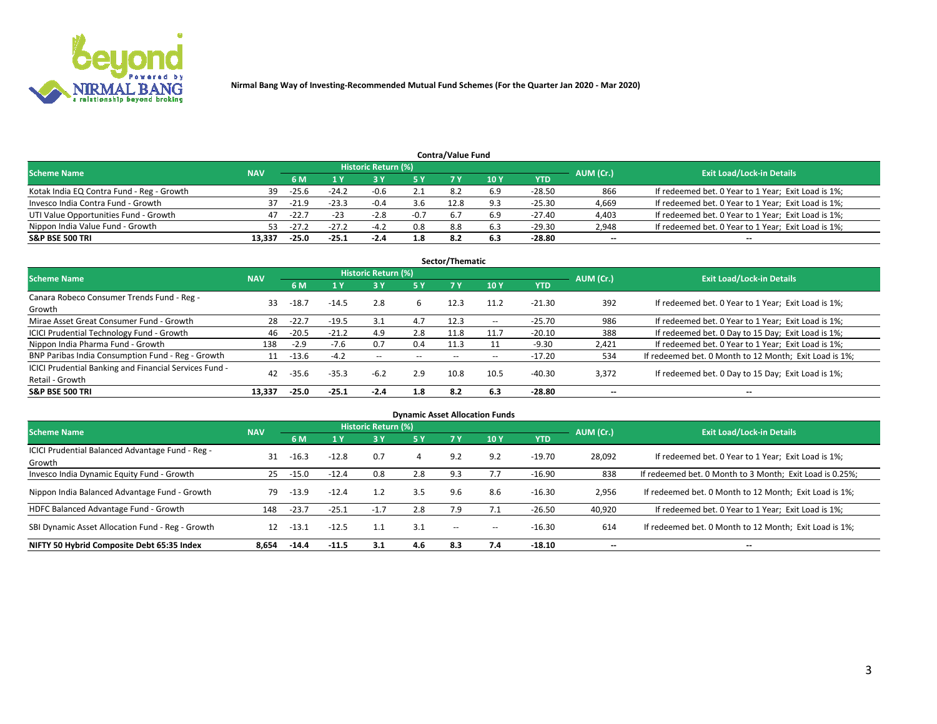

|                                           |            |         |         |                     |        | <b>Contra/Value Fund</b> |     |          |           |                                                     |
|-------------------------------------------|------------|---------|---------|---------------------|--------|--------------------------|-----|----------|-----------|-----------------------------------------------------|
| <b>Scheme Name</b>                        | <b>NAV</b> |         |         | Historic Return (%) |        |                          |     |          | AUM (Cr.) | <b>Exit Load/Lock-in Details</b>                    |
|                                           |            | 6 M     |         |                     | 5 Y    | 7 V                      | 10Y | YTD      |           |                                                     |
| Kotak India EQ Contra Fund - Reg - Growth | 39         | $-25.6$ | $-24.2$ | $-0.6$              |        | 8.ż                      | 6.9 | -28.50   | 866       | If redeemed bet. 0 Year to 1 Year; Exit Load is 1%; |
| Invesco India Contra Fund - Growth        | 37         | $-21.9$ | $-23.3$ | $-0.4$              | 3.6    | 12.8                     |     | $-25.30$ | 4,669     | If redeemed bet. 0 Year to 1 Year; Exit Load is 1%; |
| UTI Value Opportunities Fund - Growth     | 47         | $-22.7$ | $-23$   | $-2.8$              | $-0.7$ |                          | 6.9 | -27.40   | 4,403     | If redeemed bet. 0 Year to 1 Year; Exit Load is 1%; |
| Nippon India Value Fund - Growth          | 53.        | $-27.2$ | $-27.2$ | -47                 | 0.8    | 8.8                      |     | -29.30   | 2,948     | If redeemed bet. 0 Year to 1 Year; Exit Load is 1%; |
| <b>S&amp;P BSE 500 TRI</b>                | 13.337     | $-25.0$ | -25.1   | $-2.4$              | 1.8    | 8.2                      | 6.3 | -28.80   | $\sim$    | $- -$                                               |

| Sector/Thematic                                                           |            |         |         |                     |       |       |       |            |                          |                                                        |  |  |  |
|---------------------------------------------------------------------------|------------|---------|---------|---------------------|-------|-------|-------|------------|--------------------------|--------------------------------------------------------|--|--|--|
| <b>Scheme Name</b>                                                        | <b>NAV</b> |         |         | Historic Return (%) |       |       |       |            | AUM (Cr.)                | <b>Exit Load/Lock-in Details</b>                       |  |  |  |
|                                                                           |            | 6 M     | 1 Y     | 73 Y                | 15 Y  | 7 Y   | 10Y   | <b>YTD</b> |                          |                                                        |  |  |  |
| Canara Robeco Consumer Trends Fund - Reg -<br>Growth                      | 33         | $-18.7$ | $-14.5$ | 2.8                 | 6     | 12.3  | 11.2  | $-21.30$   | 392                      | If redeemed bet. 0 Year to 1 Year; Exit Load is 1%;    |  |  |  |
| Mirae Asset Great Consumer Fund - Growth                                  | 28         | $-22.7$ | $-19.5$ | 3.1                 | 4.7   | 12.3  | $- -$ | $-25.70$   | 986                      | If redeemed bet. 0 Year to 1 Year; Exit Load is 1%;    |  |  |  |
| ICICI Prudential Technology Fund - Growth                                 | 46         | $-20.5$ | $-21.2$ | 4.9                 | 2.8   | 11.8  |       | $-20.10$   | 388                      | If redeemed bet. 0 Day to 15 Day; Exit Load is 1%;     |  |  |  |
| Nippon India Pharma Fund - Growth                                         | 138        | $-2.9$  | $-7.6$  | 0.7                 | 0.4   | 11.3  |       | $-9.30$    | 2,421                    | If redeemed bet. 0 Year to 1 Year; Exit Load is 1%;    |  |  |  |
| BNP Paribas India Consumption Fund - Reg - Growth                         | 11         | -13.6   | $-4.2$  | $\sim$              | $- -$ | $- -$ | $- -$ | $-17.20$   | 534                      | If redeemed bet. 0 Month to 12 Month; Exit Load is 1%; |  |  |  |
| ICICI Prudential Banking and Financial Services Fund -<br>Retail - Growth | 42         | $-35.6$ | $-35.3$ | $-6.2$              | 2.9   | 10.8  | 10.5  | $-40.30$   | 3,372                    | If redeemed bet. 0 Day to 15 Day; Exit Load is 1%;     |  |  |  |
| <b>S&amp;P BSE 500 TRI</b>                                                | 13.337     | $-25.0$ | $-25.1$ | $-2.4$              | 1.8   | 8.2   | 6.3   | -28.80     | $\overline{\phantom{a}}$ | $\overline{\phantom{a}}$                               |  |  |  |

|                                                            |            |         |         |                     |     |                          | <b>Dynamic Asset Allocation Funds</b> |            |                          |                                                          |
|------------------------------------------------------------|------------|---------|---------|---------------------|-----|--------------------------|---------------------------------------|------------|--------------------------|----------------------------------------------------------|
| <b>Scheme Name</b>                                         | <b>NAV</b> |         |         | Historic Return (%) |     |                          |                                       |            | AUM (Cr.)                | <b>Exit Load/Lock-in Details</b>                         |
|                                                            |            | 6 M     |         | 3 Y                 | 5 Y | 7 Y                      | 10 <sub>Y</sub>                       | <b>YTD</b> |                          |                                                          |
| ICICI Prudential Balanced Advantage Fund - Reg -<br>Growth | 31         | $-16.3$ | $-12.8$ | 0.7                 | 4   | 9.2                      | 9.2                                   | $-19.70$   | 28,092                   | If redeemed bet. 0 Year to 1 Year; Exit Load is 1%;      |
| Invesco India Dynamic Equity Fund - Growth                 | 25         | -15.0   | $-12.4$ | 0.8                 | 2.8 | 9.3                      |                                       | $-16.90$   | 838                      | If redeemed bet. 0 Month to 3 Month; Exit Load is 0.25%; |
| Nippon India Balanced Advantage Fund - Growth              | 79         | $-13.9$ | $-12.4$ | 1.2                 | 3.5 | 9.6                      | 8.6                                   | $-16.30$   | 2,956                    | If redeemed bet. 0 Month to 12 Month; Exit Load is 1%;   |
| HDFC Balanced Advantage Fund - Growth                      | 148        | $-23.7$ | $-25.1$ | $-1.7$              | 2.8 | 7.9                      |                                       | $-26.50$   | 40,920                   | If redeemed bet. 0 Year to 1 Year; Exit Load is 1%;      |
| SBI Dynamic Asset Allocation Fund - Reg - Growth           | 12         | $-13.1$ | $-12.5$ |                     | 3.1 | $\overline{\phantom{a}}$ | $-$                                   | $-16.30$   | 614                      | If redeemed bet. 0 Month to 12 Month; Exit Load is 1%;   |
| NIFTY 50 Hybrid Composite Debt 65:35 Index                 | 8,654      | $-14.4$ | $-11.5$ | 3.1                 | 4.6 | 8.3                      | 7.4                                   | $-18.10$   | $\overline{\phantom{a}}$ | $\overline{\phantom{a}}$                                 |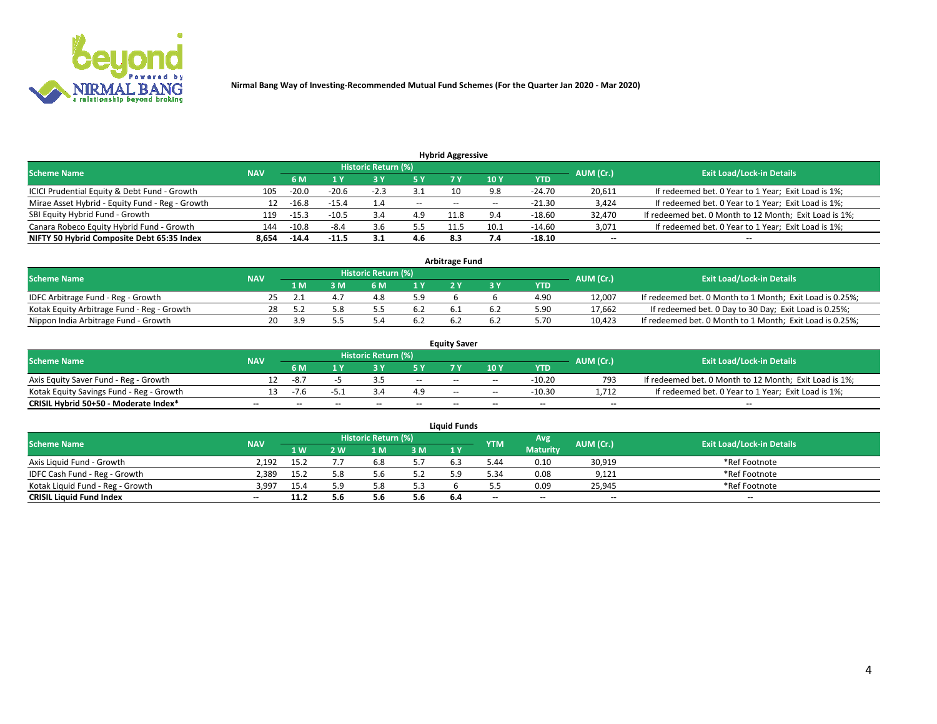

| <b>Hybrid Aggressive</b>                        |            |         |         |                     |               |                          |       |            |           |                                                        |  |  |  |  |
|-------------------------------------------------|------------|---------|---------|---------------------|---------------|--------------------------|-------|------------|-----------|--------------------------------------------------------|--|--|--|--|
| <b>Scheme Name</b>                              | <b>NAV</b> |         |         | Historic Return (%) |               |                          |       |            | AUM (Cr.) | <b>Exit Load/Lock-in Details</b>                       |  |  |  |  |
|                                                 |            | 6 M     |         |                     |               |                          | 10 Y  | <b>YTD</b> |           |                                                        |  |  |  |  |
| ICICI Prudential Equity & Debt Fund - Growth    | 105        | $-20.0$ | $-20.6$ | $-2.3$              |               |                          | 9.8   | $-24.70$   | 20,611    | If redeemed bet. 0 Year to 1 Year; Exit Load is 1%;    |  |  |  |  |
| Mirae Asset Hybrid - Equity Fund - Reg - Growth | 12         | $-16.8$ | $-15.4$ | 1.4                 | $\sim$ $\sim$ | $\overline{\phantom{m}}$ | $- -$ | $-21.30$   | 3,424     | If redeemed bet. 0 Year to 1 Year; Exit Load is 1%;    |  |  |  |  |
| SBI Equity Hybrid Fund - Growth                 | 119        | $-15.3$ | $-10.5$ | 3.4                 | 4.9           | 11.8                     | 9.4   | $-18.60$   | 32,470    | If redeemed bet. 0 Month to 12 Month; Exit Load is 1%; |  |  |  |  |
| Canara Robeco Equity Hybrid Fund - Growth       | 144        | $-10.8$ | -8.4    | 3.6                 | 5.5           | 11.5                     | 10.1  | $-14.60$   | 3,071     | If redeemed bet. 0 Year to 1 Year; Exit Load is 1%;    |  |  |  |  |
| NIFTY 50 Hybrid Composite Debt 65:35 Index      | 8.654      | $-14.4$ | $-11.5$ | 3.1                 | 4.6           | 8.3                      |       | $-18.10$   | $\sim$    | $- -$                                                  |  |  |  |  |

|                                            |            |                                  |     |     |     | <b>Arbitrage Fund</b> |      |        |                                                          |
|--------------------------------------------|------------|----------------------------------|-----|-----|-----|-----------------------|------|--------|----------------------------------------------------------|
| <b>Scheme Name</b>                         | AUM (Cr.)  | <b>Exit Load/Lock-in Details</b> |     |     |     |                       |      |        |                                                          |
|                                            | <b>NAV</b> | 1 M                              | ያ M | 6 M |     |                       | YTD  |        |                                                          |
| IDFC Arbitrage Fund - Reg - Growth         | 25.        |                                  |     |     | 5.9 |                       | 4.90 | 12,007 | If redeemed bet. 0 Month to 1 Month; Exit Load is 0.25%; |
| Kotak Equity Arbitrage Fund - Reg - Growth | 28         |                                  |     |     | 6.2 |                       | 5.90 | 17,662 | If redeemed bet. 0 Day to 30 Day; Exit Load is 0.25%;    |
| Nippon India Arbitrage Fund - Growth       | 20.        | эq                               |     |     | 6.2 |                       | 5.70 | 10,423 | If redeemed bet. 0 Month to 1 Month; Exit Load is 0.25%; |

|                                          |            |           |                                  |                          |                          | <b>Equity Saver</b> |               |            |                          |                                                        |
|------------------------------------------|------------|-----------|----------------------------------|--------------------------|--------------------------|---------------------|---------------|------------|--------------------------|--------------------------------------------------------|
| Scheme Name                              | <b>NAV</b> | AUM (Cr.) | <b>Exit Load/Lock-in Details</b> |                          |                          |                     |               |            |                          |                                                        |
|                                          |            | 6 M       |                                  |                          | 5 Y                      |                     | $\sqrt{10}$ Y | <b>YTD</b> |                          |                                                        |
| Axis Equity Saver Fund - Reg - Growth    |            | -8.7      |                                  |                          | $\sim$                   | $\sim$ $\sim$       | $\sim$        | $-10.20$   | 793                      | If redeemed bet. 0 Month to 12 Month; Exit Load is 1%; |
| Kotak Equity Savings Fund - Reg - Growth |            | $-7.6$    | -5.1                             |                          | 4.9                      | $\sim$ $\sim$       | $- -$         | -10.30     | 1.712                    | If redeemed bet. 0 Year to 1 Year; Exit Load is 1%;    |
| CRISIL Hybrid 50+50 - Moderate Index*    |            | $- -$     | $-$                              | $\overline{\phantom{a}}$ | $\overline{\phantom{a}}$ | $\sim$              | --            | $- -$      | $\overline{\phantom{a}}$ | $- -$                                                  |

| <b>Liquid Funds</b>              |            |      |     |                            |     |     |            |                 |           |                                  |  |  |  |
|----------------------------------|------------|------|-----|----------------------------|-----|-----|------------|-----------------|-----------|----------------------------------|--|--|--|
| <b>Scheme Name</b>               | <b>NAV</b> |      |     | <b>Historic Return (%)</b> |     |     | <b>YTM</b> | Avg             | AUM (Cr.) | <b>Exit Load/Lock-in Details</b> |  |  |  |
|                                  |            | 1 W. | 2 W | L M                        | 3M  | 1Y  |            | <b>Maturity</b> |           |                                  |  |  |  |
| Axis Liquid Fund - Growth        | 2.192      | 15.2 |     |                            | 5.7 |     | 5.44       | 0.10            | 30,919    | *Ref Footnote                    |  |  |  |
| IDFC Cash Fund - Reg - Growth    | 2.389      | 15.2 | 5.8 |                            | 5.2 |     | 5.34       | 0.08            | 9,121     | *Ref Footnote                    |  |  |  |
| Kotak Liguid Fund - Reg - Growth | 3,997      | 15.4 |     |                            | 5.3 |     |            | 0.09            | 25,945    | *Ref Footnote                    |  |  |  |
| <b>CRISIL Liquid Fund Index</b>  | $\sim$     | 11.2 |     |                            | 5.6 | 6.4 | $-$        | $-$             | $\sim$    | $\overline{\phantom{a}}$         |  |  |  |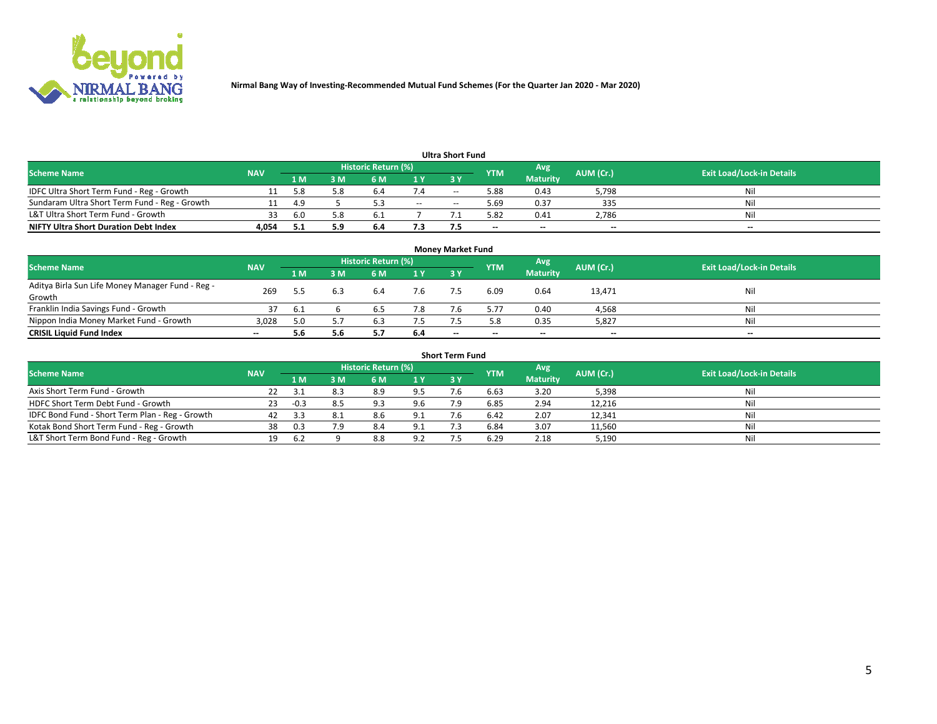

|                                               |            |      |     |                     |     | <b>Ultra Short Fund</b> |            |                 |           |                                  |
|-----------------------------------------------|------------|------|-----|---------------------|-----|-------------------------|------------|-----------------|-----------|----------------------------------|
| <b>Scheme Name</b>                            | <b>NAV</b> |      |     | Historic Return (%) |     |                         | <b>YTM</b> | Avg             | AUM (Cr.) | <b>Exit Load/Lock-in Details</b> |
|                                               |            | 1 M  | 3 M | 6 M                 | 1 Y | 3 Y                     |            | <b>Maturity</b> |           |                                  |
| IDFC Ultra Short Term Fund - Reg - Growth     |            | 5.8  | 5.8 | b.4                 |     | $- -$                   | 5.88       | 0.43            | 5,798     | Nil                              |
| Sundaram Ultra Short Term Fund - Reg - Growth |            | -4.9 |     |                     | $-$ | --                      | ۔ 69.د     | 0.37            | 335       | Nil                              |
| L&T Ultra Short Term Fund - Growth            | วว         | -6.0 | 5.8 |                     |     |                         | 5.82       | 0.41            | 2,786     | Nil                              |
| <b>NIFTY Ultra Short Duration Debt Index</b>  | 4.054      | 5.1  | 5.9 | 6.4                 | 7.3 |                         | $\sim$     | $\sim$          | $\sim$    | $- -$                            |

| <b>Money Market Fund</b>                         |            |      |     |                     |     |                          |                          |                 |           |                                  |  |  |  |
|--------------------------------------------------|------------|------|-----|---------------------|-----|--------------------------|--------------------------|-----------------|-----------|----------------------------------|--|--|--|
| <b>Scheme Name</b>                               | <b>NAV</b> |      |     | Historic Return (%) |     |                          | <b>YTM</b>               | 'Avg            | AUM (Cr.) | <b>Exit Load/Lock-in Details</b> |  |  |  |
|                                                  |            | 1 M  | 3 M | 6 M                 | 1 Y | 3Y                       |                          | <b>Maturity</b> |           |                                  |  |  |  |
| Aditya Birla Sun Life Money Manager Fund - Reg - | 269        |      |     | 6.4                 | 7.6 |                          | 6.09                     | 0.64            | 13,471    | Nil                              |  |  |  |
| Growth                                           |            |      |     |                     |     |                          |                          |                 |           |                                  |  |  |  |
| Franklin India Savings Fund - Growth             |            | -6.1 |     | 6.5                 | 7.8 |                          | 5.77                     | 0.40            | 4,568     | Nil                              |  |  |  |
| Nippon India Money Market Fund - Growth          | 3,028      | 5.0  |     | 6.3                 | 7.5 |                          | 5.8                      | 0.35            | 5,827     | Nil                              |  |  |  |
| <b>CRISIL Liquid Fund Index</b>                  | $- -$      | 5.6  | 5.6 |                     | 6.4 | $\overline{\phantom{a}}$ | $\overline{\phantom{a}}$ | $\sim$          | $\sim$    | $\sim$                           |  |  |  |

| <b>Short Term Fund</b>                          |            |        |     |                     |     |            |            |                 |           |                                  |  |  |  |  |
|-------------------------------------------------|------------|--------|-----|---------------------|-----|------------|------------|-----------------|-----------|----------------------------------|--|--|--|--|
| <b>Scheme Name</b>                              | <b>NAV</b> |        |     | Historic Return (%) |     |            | <b>YTM</b> | Avg             | AUM (Cr.) | <b>Exit Load/Lock-in Details</b> |  |  |  |  |
|                                                 |            | 1 M    | 3 M | 6 M                 | 1 Y | <b>3 Y</b> |            | <b>Maturity</b> |           |                                  |  |  |  |  |
| Axis Short Term Fund - Growth                   |            |        |     | 8.9                 | 9.5 |            | 6.63       | 3.20            | 5,398     | Nil                              |  |  |  |  |
| HDFC Short Term Debt Fund - Growth              | 23         | $-0.3$ |     | 9.3                 | 9.6 |            | 6.85       | 2.94            | 12,216    | Nil                              |  |  |  |  |
| IDFC Bond Fund - Short Term Plan - Reg - Growth | 42         |        |     | 8.6                 | 9.1 |            | 6.42       | 2.07            | 12,341    | Nil                              |  |  |  |  |
| Kotak Bond Short Term Fund - Reg - Growth       | 38         | 0.3    | 7.9 | 8.4                 | 9.1 |            | 6.84       | 3.07            | 11,560    | Nil                              |  |  |  |  |
| L&T Short Term Bond Fund - Reg - Growth         | 19.        | 6.2    |     | 8.8                 | 9.2 |            | 6.29       | 2.18            | 5,190     | Nil                              |  |  |  |  |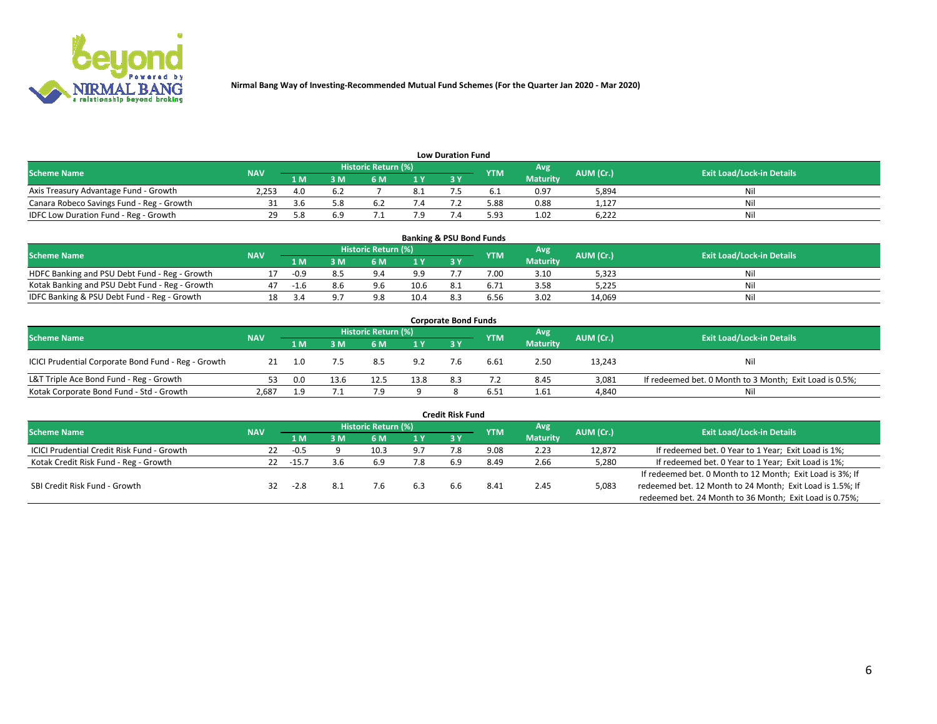

| <b>Low Duration Fund</b>                  |            |      |     |                     |                |     |            |                 |           |                                  |  |  |  |  |
|-------------------------------------------|------------|------|-----|---------------------|----------------|-----|------------|-----------------|-----------|----------------------------------|--|--|--|--|
| <b>Scheme Name</b>                        | <b>NAV</b> |      |     | Historic Return (%) |                |     | <b>YTM</b> | Avg             | AUM (Cr.) | <b>Exit Load/Lock-in Details</b> |  |  |  |  |
|                                           |            | 1 M  | sм  | 6 M                 | 1 <sub>V</sub> | 3 Y |            | <b>Maturity</b> |           |                                  |  |  |  |  |
| Axis Treasury Advantage Fund - Growth     | 2.253      | 4.0  |     |                     |                |     |            | 0.97            | 5,894     | Nil                              |  |  |  |  |
| Canara Robeco Savings Fund - Reg - Growth |            | .3.b | 5.8 |                     |                |     | 5.88       | 0.88            | 1,127     | Nil                              |  |  |  |  |
| IDFC Low Duration Fund - Reg - Growth     | 29         | 58   | r a |                     |                |     | 5.93       | 1.02            | 6,222     | Nil                              |  |  |  |  |

| <b>Banking &amp; PSU Bond Funds</b>            |            |        |    |                            |                |           |            |                 |           |                                  |  |  |  |
|------------------------------------------------|------------|--------|----|----------------------------|----------------|-----------|------------|-----------------|-----------|----------------------------------|--|--|--|
| <b>Scheme Name</b>                             | <b>NAV</b> |        |    | <b>Historic Return (%)</b> |                |           | <b>YTM</b> | Avg             | AUM (Cr.) | <b>Exit Load/Lock-in Details</b> |  |  |  |
|                                                |            | 1 M    | sм | 6 M                        | 1 <sub>Y</sub> | <b>3Y</b> |            | <b>Maturity</b> |           |                                  |  |  |  |
| HDFC Banking and PSU Debt Fund - Reg - Growth  |            | $-0.9$ |    | $Q \Lambda$                | 9.9            |           | 7.00       | 3.10            | 5,323     | Ni                               |  |  |  |
| Kotak Banking and PSU Debt Fund - Reg - Growth |            | $-1.6$ |    | 9.6                        | 10.6           | 8.1       | 6.71       | 3.58            | 5,225     | Ni                               |  |  |  |
| IDFC Banking & PSU Debt Fund - Reg - Growth    |            |        |    | 9.8                        | 10.4           |           | 6.56       | 3.02            | 14.069    | Ni                               |  |  |  |

| <b>Corporate Bond Funds</b>                         |            |     |      |                     |      |     |            |                 |           |                                                         |  |  |  |  |
|-----------------------------------------------------|------------|-----|------|---------------------|------|-----|------------|-----------------|-----------|---------------------------------------------------------|--|--|--|--|
| <b>Scheme Name</b>                                  | <b>NAV</b> |     |      | Historic Return (%) |      |     | <b>YTM</b> | Avg             | AUM (Cr.) | <b>Exit Load/Lock-in Details</b>                        |  |  |  |  |
|                                                     |            | 1 M | 8 M  | 6 M                 | 1 Y  | 3 Y |            | <b>Maturity</b> |           |                                                         |  |  |  |  |
| ICICI Prudential Corporate Bond Fund - Reg - Growth |            |     |      | 8.5                 | 9.2  |     | 6.61       | 2.50            | 13,243    | Nil                                                     |  |  |  |  |
| L&T Triple Ace Bond Fund - Reg - Growth             |            | 0.0 | 13.6 | 12.5                | 13.8 | 8.3 |            | 8.45            | 3,081     | If redeemed bet. 0 Month to 3 Month; Exit Load is 0.5%; |  |  |  |  |
| Kotak Corporate Bond Fund - Std - Growth            | 2,687      | a   | 7.1  |                     |      |     | 6.51       | 1.61            | 4,840     | Nil                                                     |  |  |  |  |

| <b>Credit Risk Fund</b>                    |            |        |     |                     |     |     |            |                 |           |                                                           |  |  |
|--------------------------------------------|------------|--------|-----|---------------------|-----|-----|------------|-----------------|-----------|-----------------------------------------------------------|--|--|
| <b>Scheme Name</b>                         | <b>NAV</b> |        |     | Historic Return (%) |     |     | <b>YTM</b> | Avg             | AUM (Cr.) | <b>Exit Load/Lock-in Details</b>                          |  |  |
|                                            |            | 1 M    | ያ M | 6 M                 | 1 Y | 3Y  |            | <b>Maturity</b> |           |                                                           |  |  |
| ICICI Prudential Credit Risk Fund - Growth | 22         | -0.5   |     | 10.3                | 9.7 |     | 9.08       | 2.23            | 12,872    | If redeemed bet. 0 Year to 1 Year; Exit Load is 1%;       |  |  |
| Kotak Credit Risk Fund - Reg - Growth      | 22         | -15.7  | 3.6 | 6.9                 | 7.8 | 6.9 | 8.49       | 2.66            | 5,280     | If redeemed bet. 0 Year to 1 Year; Exit Load is 1%;       |  |  |
|                                            |            |        |     |                     |     |     |            |                 |           | If redeemed bet. 0 Month to 12 Month; Exit Load is 3%; If |  |  |
| SBI Credit Risk Fund - Growth              | 32         | $-2.8$ | 8.1 |                     | 6.3 | h h | 8.4        | 2.45            | 5,083     | redeemed bet. 12 Month to 24 Month; Exit Load is 1.5%; If |  |  |
|                                            |            |        |     |                     |     |     |            |                 |           | redeemed bet. 24 Month to 36 Month; Exit Load is 0.75%;   |  |  |